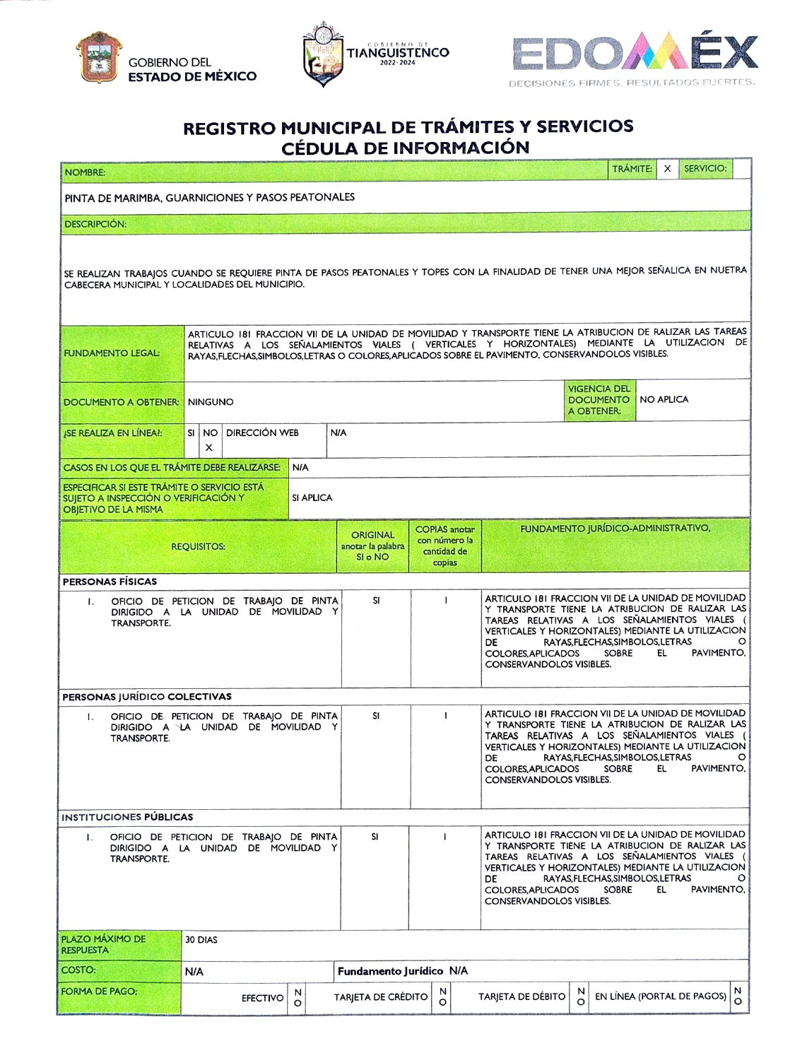





## REGISTRO MUNICIPAL DE TRÁMITES Y SERVICIOS CEDULA DE INFORMACIÓN

| <b>NOMBRE:</b>                                                                                                                                                                                                                                                                                                                               |                 |                      |                                                                           |     |                                                 |                                                                |                       |                                       |                                                                                                                                                                                                                                                                                                                                                   |   | TRÁMITE:                                         | $\times$ | <b>SERVICIO:</b> |                       |
|----------------------------------------------------------------------------------------------------------------------------------------------------------------------------------------------------------------------------------------------------------------------------------------------------------------------------------------------|-----------------|----------------------|---------------------------------------------------------------------------|-----|-------------------------------------------------|----------------------------------------------------------------|-----------------------|---------------------------------------|---------------------------------------------------------------------------------------------------------------------------------------------------------------------------------------------------------------------------------------------------------------------------------------------------------------------------------------------------|---|--------------------------------------------------|----------|------------------|-----------------------|
| PINTA DE MARIMBA, GUARNICIONES Y PASOS PEATONALES                                                                                                                                                                                                                                                                                            |                 |                      |                                                                           |     |                                                 |                                                                |                       |                                       |                                                                                                                                                                                                                                                                                                                                                   |   |                                                  |          |                  |                       |
| <b>DESCRIPCIÓN:</b>                                                                                                                                                                                                                                                                                                                          |                 |                      |                                                                           |     |                                                 |                                                                |                       |                                       |                                                                                                                                                                                                                                                                                                                                                   |   |                                                  |          |                  |                       |
| SE REALIZAN TRABAJOS CUANDO SE REQUIERE PINTA DE PASOS PEATONALES Y TOPES CON LA FINALIDAD DE TENER UNA MEJOR SEÑALICA EN NUETRA<br>CABECERA MUNICIPAL Y LOCALIDADES DEL MUNICIPIO.                                                                                                                                                          |                 |                      |                                                                           |     |                                                 |                                                                |                       |                                       |                                                                                                                                                                                                                                                                                                                                                   |   |                                                  |          |                  |                       |
| ARTICULO 181 FRACCION VII DE LA UNIDAD DE MOVILIDAD Y TRANSPORTE TIENE LA ATRIBUCION DE RALIZAR LAS TAREAS<br>RELATIVAS A LOS SEÑALAMIENTOS VIALES ( VERTICALES Y HORIZONTALES) MEDIANTE LA UTILIZACION DE<br><b>FUNDAMENTO LEGAL:</b><br>RAYAS, FLECHAS, SIMBOLOS, LETRAS O COLORES, APLICADOS SOBRE EL PAVIMENTO, CONSERVANDOLOS VISIBLES. |                 |                      |                                                                           |     |                                                 |                                                                |                       |                                       |                                                                                                                                                                                                                                                                                                                                                   |   |                                                  |          |                  |                       |
| <b>DOCUMENTO A OBTENER: NINGUNO</b>                                                                                                                                                                                                                                                                                                          |                 |                      | <b>VIGENCIA DEL</b><br><b>DOCUMENTO</b><br><b>NO APLICA</b><br>A OBTENER: |     |                                                 |                                                                |                       |                                       |                                                                                                                                                                                                                                                                                                                                                   |   |                                                  |          |                  |                       |
| <b>¡SE REALIZA EN LÍNEA</b> ?:                                                                                                                                                                                                                                                                                                               | SI.<br>NO.<br>x | <b>DIRECCIÓN WEB</b> |                                                                           | N/A |                                                 |                                                                |                       |                                       |                                                                                                                                                                                                                                                                                                                                                   |   |                                                  |          |                  |                       |
| CASOS EN LOS QUE EL TRÁMITE DEBE REALIZARSE:                                                                                                                                                                                                                                                                                                 |                 |                      | <b>N/A</b>                                                                |     |                                                 |                                                                |                       |                                       |                                                                                                                                                                                                                                                                                                                                                   |   |                                                  |          |                  |                       |
| <b>ESPECIFICAR SI ESTE TRÁMITE O SERVICIO ESTÁ</b><br>SUIETO A INSPECCIÓN O VERIFICACIÓN Y<br>OBIETIVO DE LA MISMA                                                                                                                                                                                                                           |                 |                      | SI APLICA                                                                 |     |                                                 |                                                                |                       |                                       |                                                                                                                                                                                                                                                                                                                                                   |   |                                                  |          |                  |                       |
| <b>REQUISITOS:</b>                                                                                                                                                                                                                                                                                                                           |                 |                      |                                                                           |     | <b>ORIGINAL</b><br>anotar la palabra<br>SI o NO |                                                                | cantidad de<br>copias | <b>COPIAS</b> anotar<br>con número la | FUNDAMENTO JURÍDICO-ADMINISTRATIVO,                                                                                                                                                                                                                                                                                                               |   |                                                  |          |                  |                       |
| <b>PERSONAS FÍSICAS</b>                                                                                                                                                                                                                                                                                                                      |                 |                      |                                                                           |     |                                                 |                                                                |                       |                                       |                                                                                                                                                                                                                                                                                                                                                   |   |                                                  |          |                  |                       |
| OFICIO DE PETICION DE TRABAJO DE PINTA<br>$\mathsf{L}$<br>DIRIGIDO A LA UNIDAD DE MOVILIDAD Y<br>TRANSPORTE.                                                                                                                                                                                                                                 |                 |                      |                                                                           |     | SI                                              |                                                                | $\mathbf{I}$          |                                       | ARTICULO 181 FRACCION VII DE LA UNIDAD DE MOVILIDAD<br>Y TRANSPORTE TIENE LA ATRIBUCION DE RALIZAR LAS<br>TAREAS RELATIVAS A LOS SEÑALAMIENTOS VIALES<br>VERTICALES Y HORIZONTALES) MEDIANTE LA UTILIZACION<br>DE<br>COLORES, APLICADOS<br>CONSERVANDOLOS VISIBLES.                                                                               |   | RAYAS, FLECHAS, SIMBOLOS, LETRAS<br><b>SOBRE</b> | EL       |                  | $\circ$<br>PAVIMENTO, |
| PERSONAS JURÍDICO COLECTIVAS                                                                                                                                                                                                                                                                                                                 |                 |                      |                                                                           |     |                                                 |                                                                |                       |                                       |                                                                                                                                                                                                                                                                                                                                                   |   |                                                  |          |                  |                       |
| OFICIO DE PETICION DE TRABAJO DE PINTA<br>$\mathbf{L}$<br>DIRIGIDO A LA UNIDAD DE MOVILIDAD Y<br>TRANSPORTE.                                                                                                                                                                                                                                 |                 |                      |                                                                           |     | SI                                              |                                                                | $\mathbf{I}$          |                                       | ARTICULO 181 FRACCION VII DE LA UNIDAD DE MOVILIDAD<br>Y TRANSPORTE TIENE LA ATRIBUCION DE RALIZAR LAS<br>TAREAS RELATIVAS A LOS SEÑALAMIENTOS VIALES (<br>VERTICALES Y HORIZONTALES) MEDIANTE LA UTILIZACION<br>DE<br>RAYAS, FLECHAS, SIMBOLOS, LETRAS<br>PAVIMENTO,<br>COLORES, APLICADOS<br>SOBRE<br>EL<br><b>CONSERVANDOLOS VISIBLES.</b>     |   |                                                  |          |                  |                       |
| <b>INSTITUCIONES PÚBLICAS</b>                                                                                                                                                                                                                                                                                                                |                 |                      |                                                                           |     |                                                 |                                                                |                       |                                       |                                                                                                                                                                                                                                                                                                                                                   |   |                                                  |          |                  |                       |
| OFICIO DE PETICION DE TRABAJO DE PINTA<br>Ι.<br>DIRIGIDO A LA UNIDAD DE MOVILIDAD Y<br>TRANSPORTE.                                                                                                                                                                                                                                           |                 |                      |                                                                           |     | SI                                              |                                                                | $\mathbf{I}$          |                                       | ARTICULO 181 FRACCION VII DE LA UNIDAD DE MOVILIDAD<br>Y TRANSPORTE TIENE LA ATRIBUCION DE RALIZAR LAS<br>TAREAS RELATIVAS A LOS SEÑALAMIENTOS VIALES<br>VERTICALES Y HORIZONTALES) MEDIANTE LA UTILIZACION<br>RAYAS, FLECHAS, SIMBOLOS, LETRAS<br>DE<br>COLORES.APLICADOS<br><b>SOBRE</b><br>EL<br>PAVIMENTO,<br><b>CONSERVANDOLOS VISIBLES.</b> |   |                                                  |          |                  |                       |
| PLAZO MÁXIMO DE<br>30 DIAS<br><b>RESPUESTA</b>                                                                                                                                                                                                                                                                                               |                 |                      |                                                                           |     |                                                 |                                                                |                       |                                       |                                                                                                                                                                                                                                                                                                                                                   |   |                                                  |          |                  |                       |
| COSTO:                                                                                                                                                                                                                                                                                                                                       | N/A             |                      |                                                                           |     | Fundamento Jurídico N/A                         |                                                                |                       |                                       |                                                                                                                                                                                                                                                                                                                                                   |   |                                                  |          |                  |                       |
| FORMA DE PAGO:                                                                                                                                                                                                                                                                                                                               |                 | <b>EFECTIVO</b>      | N<br>$\circ$                                                              |     | TARJETA DE CRÉDITO                              | N<br>N<br>EN LÍNEA (PORTAL DE PAGOS)<br>TARJETA DE DÉBITO<br>O |                       |                                       |                                                                                                                                                                                                                                                                                                                                                   | N |                                                  |          |                  |                       |